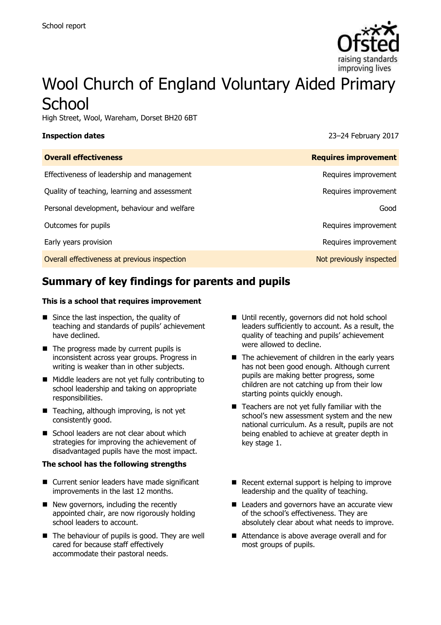

# Wool Church of England Voluntary Aided Primary **School**

High Street, Wool, Wareham, Dorset BH20 6BT

**Inspection dates** 23–24 February 2017

| <b>Overall effectiveness</b>                 | <b>Requires improvement</b> |
|----------------------------------------------|-----------------------------|
| Effectiveness of leadership and management   | Requires improvement        |
| Quality of teaching, learning and assessment | Requires improvement        |
| Personal development, behaviour and welfare  | Good                        |
| Outcomes for pupils                          | Requires improvement        |
| Early years provision                        | Requires improvement        |
| Overall effectiveness at previous inspection | Not previously inspected    |

# **Summary of key findings for parents and pupils**

### **This is a school that requires improvement**

- $\blacksquare$  Since the last inspection, the quality of teaching and standards of pupils' achievement have declined.
- The progress made by current pupils is inconsistent across year groups. Progress in writing is weaker than in other subjects.
- Middle leaders are not yet fully contributing to school leadership and taking on appropriate responsibilities.
- Teaching, although improving, is not yet consistently good.
- School leaders are not clear about which strategies for improving the achievement of disadvantaged pupils have the most impact.

### **The school has the following strengths**

- Current senior leaders have made significant improvements in the last 12 months.
- New governors, including the recently appointed chair, are now rigorously holding school leaders to account.
- The behaviour of pupils is good. They are well cared for because staff effectively accommodate their pastoral needs.
- Until recently, governors did not hold school leaders sufficiently to account. As a result, the quality of teaching and pupils' achievement were allowed to decline.
- The achievement of children in the early years has not been good enough. Although current pupils are making better progress, some children are not catching up from their low starting points quickly enough.
- $\blacksquare$  Teachers are not yet fully familiar with the school's new assessment system and the new national curriculum. As a result, pupils are not being enabled to achieve at greater depth in key stage 1.
- $\blacksquare$  Recent external support is helping to improve leadership and the quality of teaching.
- Leaders and governors have an accurate view of the school's effectiveness. They are absolutely clear about what needs to improve.
- Attendance is above average overall and for most groups of pupils.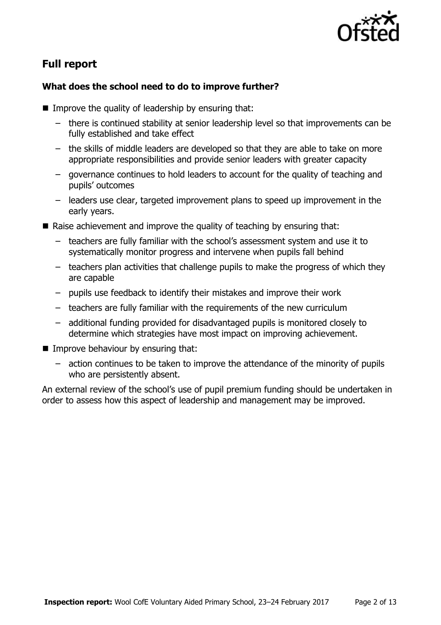

# **Full report**

### **What does the school need to do to improve further?**

- $\blacksquare$  Improve the quality of leadership by ensuring that:
	- there is continued stability at senior leadership level so that improvements can be fully established and take effect
	- the skills of middle leaders are developed so that they are able to take on more appropriate responsibilities and provide senior leaders with greater capacity
	- governance continues to hold leaders to account for the quality of teaching and pupils' outcomes
	- leaders use clear, targeted improvement plans to speed up improvement in the early years.
- Raise achievement and improve the quality of teaching by ensuring that:
	- teachers are fully familiar with the school's assessment system and use it to systematically monitor progress and intervene when pupils fall behind
	- teachers plan activities that challenge pupils to make the progress of which they are capable
	- pupils use feedback to identify their mistakes and improve their work
	- teachers are fully familiar with the requirements of the new curriculum
	- additional funding provided for disadvantaged pupils is monitored closely to determine which strategies have most impact on improving achievement.
- **Improve behaviour by ensuring that:** 
	- action continues to be taken to improve the attendance of the minority of pupils who are persistently absent.

An external review of the school's use of pupil premium funding should be undertaken in order to assess how this aspect of leadership and management may be improved.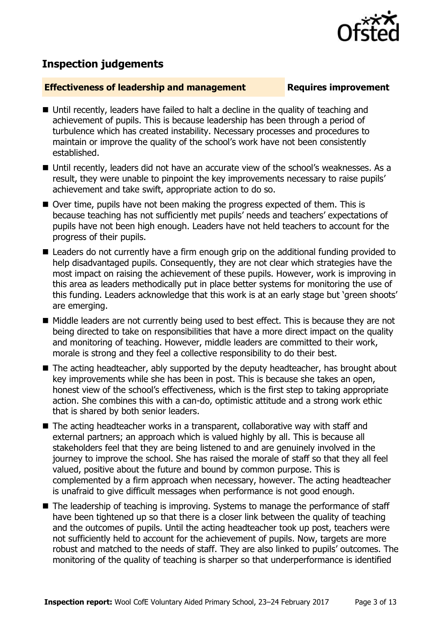

## **Inspection judgements**

### **Effectiveness of leadership and management Requires improvement**

- Until recently, leaders have failed to halt a decline in the quality of teaching and achievement of pupils. This is because leadership has been through a period of turbulence which has created instability. Necessary processes and procedures to maintain or improve the quality of the school's work have not been consistently established.
- Until recently, leaders did not have an accurate view of the school's weaknesses. As a result, they were unable to pinpoint the key improvements necessary to raise pupils' achievement and take swift, appropriate action to do so.
- Over time, pupils have not been making the progress expected of them. This is because teaching has not sufficiently met pupils' needs and teachers' expectations of pupils have not been high enough. Leaders have not held teachers to account for the progress of their pupils.
- Leaders do not currently have a firm enough grip on the additional funding provided to help disadvantaged pupils. Consequently, they are not clear which strategies have the most impact on raising the achievement of these pupils. However, work is improving in this area as leaders methodically put in place better systems for monitoring the use of this funding. Leaders acknowledge that this work is at an early stage but 'green shoots' are emerging.
- Middle leaders are not currently being used to best effect. This is because they are not being directed to take on responsibilities that have a more direct impact on the quality and monitoring of teaching. However, middle leaders are committed to their work, morale is strong and they feel a collective responsibility to do their best.
- The acting headteacher, ably supported by the deputy headteacher, has brought about key improvements while she has been in post. This is because she takes an open, honest view of the school's effectiveness, which is the first step to taking appropriate action. She combines this with a can-do, optimistic attitude and a strong work ethic that is shared by both senior leaders.
- The acting headteacher works in a transparent, collaborative way with staff and external partners; an approach which is valued highly by all. This is because all stakeholders feel that they are being listened to and are genuinely involved in the journey to improve the school. She has raised the morale of staff so that they all feel valued, positive about the future and bound by common purpose. This is complemented by a firm approach when necessary, however. The acting headteacher is unafraid to give difficult messages when performance is not good enough.
- The leadership of teaching is improving. Systems to manage the performance of staff have been tightened up so that there is a closer link between the quality of teaching and the outcomes of pupils. Until the acting headteacher took up post, teachers were not sufficiently held to account for the achievement of pupils. Now, targets are more robust and matched to the needs of staff. They are also linked to pupils' outcomes. The monitoring of the quality of teaching is sharper so that underperformance is identified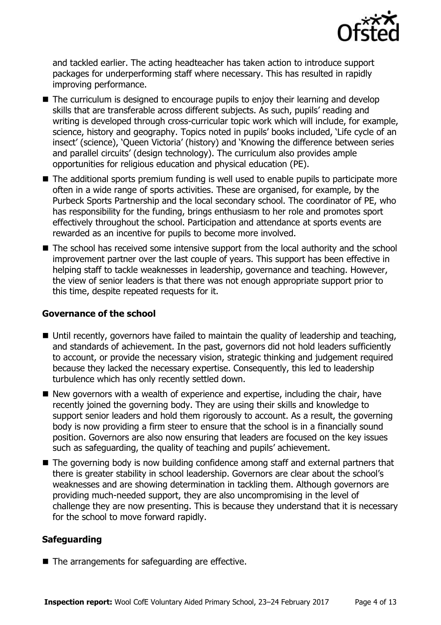

and tackled earlier. The acting headteacher has taken action to introduce support packages for underperforming staff where necessary. This has resulted in rapidly improving performance.

- The curriculum is designed to encourage pupils to enjoy their learning and develop skills that are transferable across different subjects. As such, pupils' reading and writing is developed through cross-curricular topic work which will include, for example, science, history and geography. Topics noted in pupils' books included, 'Life cycle of an insect' (science), 'Queen Victoria' (history) and 'Knowing the difference between series and parallel circuits' (design technology). The curriculum also provides ample opportunities for religious education and physical education (PE).
- The additional sports premium funding is well used to enable pupils to participate more often in a wide range of sports activities. These are organised, for example, by the Purbeck Sports Partnership and the local secondary school. The coordinator of PE, who has responsibility for the funding, brings enthusiasm to her role and promotes sport effectively throughout the school. Participation and attendance at sports events are rewarded as an incentive for pupils to become more involved.
- The school has received some intensive support from the local authority and the school improvement partner over the last couple of years. This support has been effective in helping staff to tackle weaknesses in leadership, governance and teaching. However, the view of senior leaders is that there was not enough appropriate support prior to this time, despite repeated requests for it.

### **Governance of the school**

- Until recently, governors have failed to maintain the quality of leadership and teaching, and standards of achievement. In the past, governors did not hold leaders sufficiently to account, or provide the necessary vision, strategic thinking and judgement required because they lacked the necessary expertise. Consequently, this led to leadership turbulence which has only recently settled down.
- $\blacksquare$  New governors with a wealth of experience and expertise, including the chair, have recently joined the governing body. They are using their skills and knowledge to support senior leaders and hold them rigorously to account. As a result, the governing body is now providing a firm steer to ensure that the school is in a financially sound position. Governors are also now ensuring that leaders are focused on the key issues such as safeguarding, the quality of teaching and pupils' achievement.
- The governing body is now building confidence among staff and external partners that there is greater stability in school leadership. Governors are clear about the school's weaknesses and are showing determination in tackling them. Although governors are providing much-needed support, they are also uncompromising in the level of challenge they are now presenting. This is because they understand that it is necessary for the school to move forward rapidly.

### **Safeguarding**

■ The arrangements for safeguarding are effective.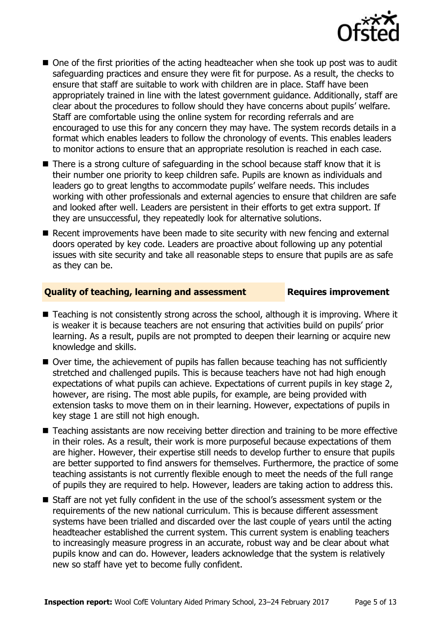

- One of the first priorities of the acting headteacher when she took up post was to audit safeguarding practices and ensure they were fit for purpose. As a result, the checks to ensure that staff are suitable to work with children are in place. Staff have been appropriately trained in line with the latest government guidance. Additionally, staff are clear about the procedures to follow should they have concerns about pupils' welfare. Staff are comfortable using the online system for recording referrals and are encouraged to use this for any concern they may have. The system records details in a format which enables leaders to follow the chronology of events. This enables leaders to monitor actions to ensure that an appropriate resolution is reached in each case.
- There is a strong culture of safeguarding in the school because staff know that it is their number one priority to keep children safe. Pupils are known as individuals and leaders go to great lengths to accommodate pupils' welfare needs. This includes working with other professionals and external agencies to ensure that children are safe and looked after well. Leaders are persistent in their efforts to get extra support. If they are unsuccessful, they repeatedly look for alternative solutions.
- Recent improvements have been made to site security with new fencing and external doors operated by key code. Leaders are proactive about following up any potential issues with site security and take all reasonable steps to ensure that pupils are as safe as they can be.

### **Quality of teaching, learning and assessment Requires improvement**

- Teaching is not consistently strong across the school, although it is improving. Where it is weaker it is because teachers are not ensuring that activities build on pupils' prior learning. As a result, pupils are not prompted to deepen their learning or acquire new knowledge and skills.
- Over time, the achievement of pupils has fallen because teaching has not sufficiently stretched and challenged pupils. This is because teachers have not had high enough expectations of what pupils can achieve. Expectations of current pupils in key stage 2, however, are rising. The most able pupils, for example, are being provided with extension tasks to move them on in their learning. However, expectations of pupils in key stage 1 are still not high enough.
- Teaching assistants are now receiving better direction and training to be more effective in their roles. As a result, their work is more purposeful because expectations of them are higher. However, their expertise still needs to develop further to ensure that pupils are better supported to find answers for themselves. Furthermore, the practice of some teaching assistants is not currently flexible enough to meet the needs of the full range of pupils they are required to help. However, leaders are taking action to address this.
- Staff are not yet fully confident in the use of the school's assessment system or the requirements of the new national curriculum. This is because different assessment systems have been trialled and discarded over the last couple of years until the acting headteacher established the current system. This current system is enabling teachers to increasingly measure progress in an accurate, robust way and be clear about what pupils know and can do. However, leaders acknowledge that the system is relatively new so staff have yet to become fully confident.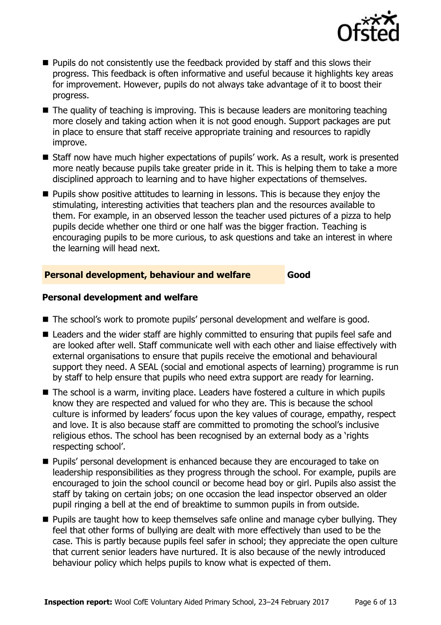

- **Pupils do not consistently use the feedback provided by staff and this slows their** progress. This feedback is often informative and useful because it highlights key areas for improvement. However, pupils do not always take advantage of it to boost their progress.
- The quality of teaching is improving. This is because leaders are monitoring teaching more closely and taking action when it is not good enough. Support packages are put in place to ensure that staff receive appropriate training and resources to rapidly improve.
- Staff now have much higher expectations of pupils' work. As a result, work is presented more neatly because pupils take greater pride in it. This is helping them to take a more disciplined approach to learning and to have higher expectations of themselves.
- **Pupils show positive attitudes to learning in lessons. This is because they enjoy the** stimulating, interesting activities that teachers plan and the resources available to them. For example, in an observed lesson the teacher used pictures of a pizza to help pupils decide whether one third or one half was the bigger fraction. Teaching is encouraging pupils to be more curious, to ask questions and take an interest in where the learning will head next.

### **Personal development, behaviour and welfare Good**

### **Personal development and welfare**

- The school's work to promote pupils' personal development and welfare is good.
- Leaders and the wider staff are highly committed to ensuring that pupils feel safe and are looked after well. Staff communicate well with each other and liaise effectively with external organisations to ensure that pupils receive the emotional and behavioural support they need. A SEAL (social and emotional aspects of learning) programme is run by staff to help ensure that pupils who need extra support are ready for learning.
- The school is a warm, inviting place. Leaders have fostered a culture in which pupils know they are respected and valued for who they are. This is because the school culture is informed by leaders' focus upon the key values of courage, empathy, respect and love. It is also because staff are committed to promoting the school's inclusive religious ethos. The school has been recognised by an external body as a 'rights respecting school'.
- **Pupils' personal development is enhanced because they are encouraged to take on** leadership responsibilities as they progress through the school. For example, pupils are encouraged to join the school council or become head boy or girl. Pupils also assist the staff by taking on certain jobs; on one occasion the lead inspector observed an older pupil ringing a bell at the end of breaktime to summon pupils in from outside.
- **Pupils are taught how to keep themselves safe online and manage cyber bullying. They** feel that other forms of bullying are dealt with more effectively than used to be the case. This is partly because pupils feel safer in school; they appreciate the open culture that current senior leaders have nurtured. It is also because of the newly introduced behaviour policy which helps pupils to know what is expected of them.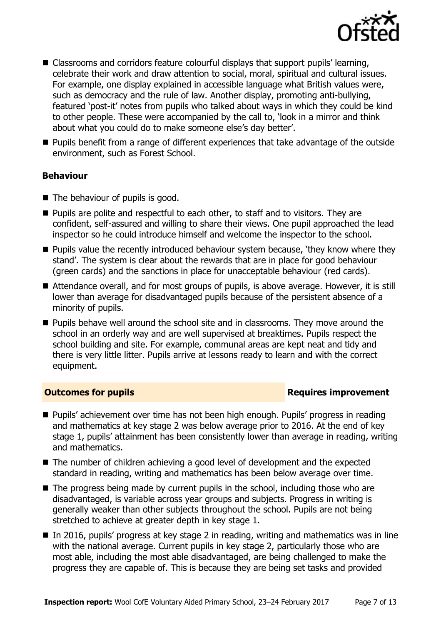

- Classrooms and corridors feature colourful displays that support pupils' learning, celebrate their work and draw attention to social, moral, spiritual and cultural issues. For example, one display explained in accessible language what British values were, such as democracy and the rule of law. Another display, promoting anti-bullying, featured 'post-it' notes from pupils who talked about ways in which they could be kind to other people. These were accompanied by the call to, 'look in a mirror and think about what you could do to make someone else's day better'.
- Pupils benefit from a range of different experiences that take advantage of the outside environment, such as Forest School.

### **Behaviour**

- The behaviour of pupils is good.
- **Pupils are polite and respectful to each other, to staff and to visitors. They are** confident, self-assured and willing to share their views. One pupil approached the lead inspector so he could introduce himself and welcome the inspector to the school.
- **Pupils value the recently introduced behaviour system because, 'they know where they** stand'. The system is clear about the rewards that are in place for good behaviour (green cards) and the sanctions in place for unacceptable behaviour (red cards).
- Attendance overall, and for most groups of pupils, is above average. However, it is still lower than average for disadvantaged pupils because of the persistent absence of a minority of pupils.
- **Pupils behave well around the school site and in classrooms. They move around the** school in an orderly way and are well supervised at breaktimes. Pupils respect the school building and site. For example, communal areas are kept neat and tidy and there is very little litter. Pupils arrive at lessons ready to learn and with the correct equipment.

### **Outcomes for pupils Requires improvement**

- Pupils' achievement over time has not been high enough. Pupils' progress in reading and mathematics at key stage 2 was below average prior to 2016. At the end of key stage 1, pupils' attainment has been consistently lower than average in reading, writing and mathematics.
- The number of children achieving a good level of development and the expected standard in reading, writing and mathematics has been below average over time.
- The progress being made by current pupils in the school, including those who are disadvantaged, is variable across year groups and subjects. Progress in writing is generally weaker than other subjects throughout the school. Pupils are not being stretched to achieve at greater depth in key stage 1.
- In 2016, pupils' progress at key stage 2 in reading, writing and mathematics was in line with the national average. Current pupils in key stage 2, particularly those who are most able, including the most able disadvantaged, are being challenged to make the progress they are capable of. This is because they are being set tasks and provided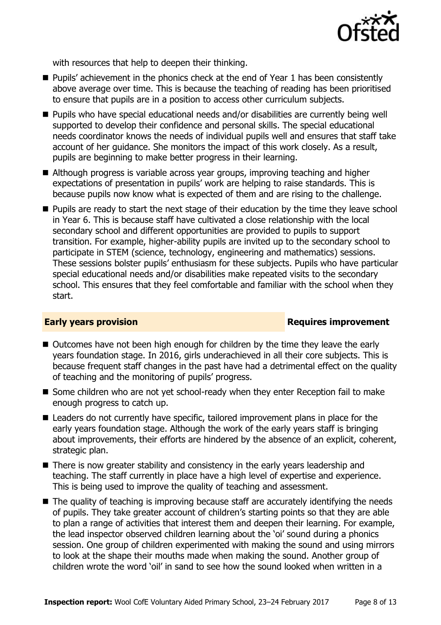

with resources that help to deepen their thinking.

- Pupils' achievement in the phonics check at the end of Year 1 has been consistently above average over time. This is because the teaching of reading has been prioritised to ensure that pupils are in a position to access other curriculum subjects.
- Pupils who have special educational needs and/or disabilities are currently being well supported to develop their confidence and personal skills. The special educational needs coordinator knows the needs of individual pupils well and ensures that staff take account of her guidance. She monitors the impact of this work closely. As a result, pupils are beginning to make better progress in their learning.
- Although progress is variable across year groups, improving teaching and higher expectations of presentation in pupils' work are helping to raise standards. This is because pupils now know what is expected of them and are rising to the challenge.
- **Pupils are ready to start the next stage of their education by the time they leave school** in Year 6. This is because staff have cultivated a close relationship with the local secondary school and different opportunities are provided to pupils to support transition. For example, higher-ability pupils are invited up to the secondary school to participate in STEM (science, technology, engineering and mathematics) sessions. These sessions bolster pupils' enthusiasm for these subjects. Pupils who have particular special educational needs and/or disabilities make repeated visits to the secondary school. This ensures that they feel comfortable and familiar with the school when they start.

### **Early years provision Requires improvement**

- Outcomes have not been high enough for children by the time they leave the early years foundation stage. In 2016, girls underachieved in all their core subjects. This is because frequent staff changes in the past have had a detrimental effect on the quality of teaching and the monitoring of pupils' progress.
- Some children who are not vet school-ready when they enter Reception fail to make enough progress to catch up.
- Leaders do not currently have specific, tailored improvement plans in place for the early years foundation stage. Although the work of the early years staff is bringing about improvements, their efforts are hindered by the absence of an explicit, coherent, strategic plan.
- There is now greater stability and consistency in the early years leadership and teaching. The staff currently in place have a high level of expertise and experience. This is being used to improve the quality of teaching and assessment.
- The quality of teaching is improving because staff are accurately identifying the needs of pupils. They take greater account of children's starting points so that they are able to plan a range of activities that interest them and deepen their learning. For example, the lead inspector observed children learning about the 'oi' sound during a phonics session. One group of children experimented with making the sound and using mirrors to look at the shape their mouths made when making the sound. Another group of children wrote the word 'oil' in sand to see how the sound looked when written in a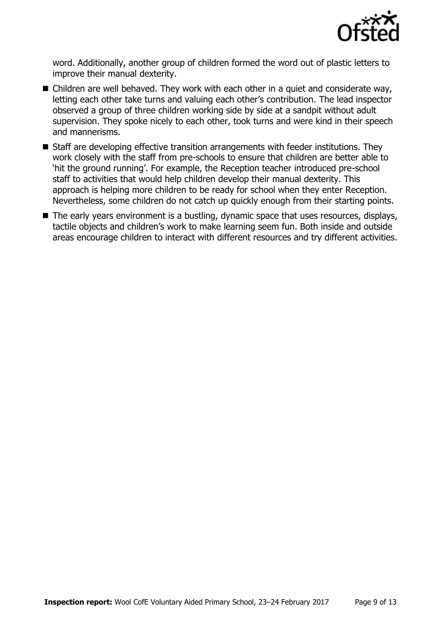

word. Additionally, another group of children formed the word out of plastic letters to improve their manual dexterity.

- Children are well behaved. They work with each other in a quiet and considerate way, letting each other take turns and valuing each other's contribution. The lead inspector observed a group of three children working side by side at a sandpit without adult supervision. They spoke nicely to each other, took turns and were kind in their speech and mannerisms.
- Staff are developing effective transition arrangements with feeder institutions. They work closely with the staff from pre-schools to ensure that children are better able to 'hit the ground running'. For example, the Reception teacher introduced pre-school staff to activities that would help children develop their manual dexterity. This approach is helping more children to be ready for school when they enter Reception. Nevertheless, some children do not catch up quickly enough from their starting points.
- The early years environment is a bustling, dynamic space that uses resources, displays, tactile objects and children's work to make learning seem fun. Both inside and outside areas encourage children to interact with different resources and try different activities.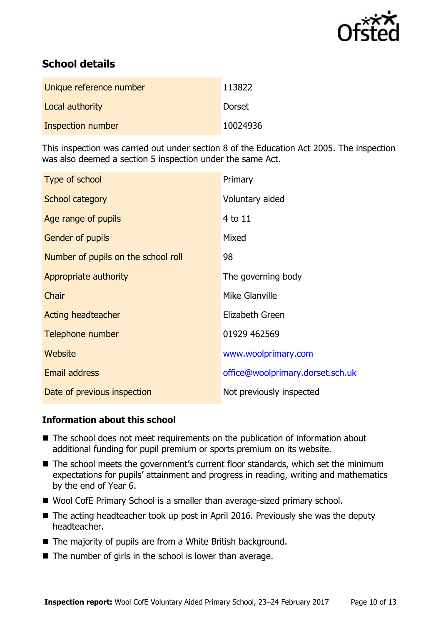

# **School details**

| Unique reference number | 113822   |
|-------------------------|----------|
| Local authority         | Dorset   |
| Inspection number       | 10024936 |

This inspection was carried out under section 8 of the Education Act 2005. The inspection was also deemed a section 5 inspection under the same Act.

| Type of school                      | Primary                          |
|-------------------------------------|----------------------------------|
| School category                     | Voluntary aided                  |
| Age range of pupils                 | 4 to 11                          |
| <b>Gender of pupils</b>             | Mixed                            |
| Number of pupils on the school roll | 98                               |
| Appropriate authority               | The governing body               |
| Chair                               | Mike Glanville                   |
| <b>Acting headteacher</b>           | Elizabeth Green                  |
| Telephone number                    | 01929 462569                     |
| Website                             | www.woolprimary.com              |
| <b>Email address</b>                | office@woolprimary.dorset.sch.uk |
| Date of previous inspection         | Not previously inspected         |

### **Information about this school**

- The school does not meet requirements on the publication of information about additional funding for pupil premium or sports premium on its website.
- The school meets the government's current floor standards, which set the minimum expectations for pupils' attainment and progress in reading, writing and mathematics by the end of Year 6.
- Wool CofE Primary School is a smaller than average-sized primary school.
- $\blacksquare$  The acting headteacher took up post in April 2016. Previously she was the deputy headteacher.
- The majority of pupils are from a White British background.
- $\blacksquare$  The number of girls in the school is lower than average.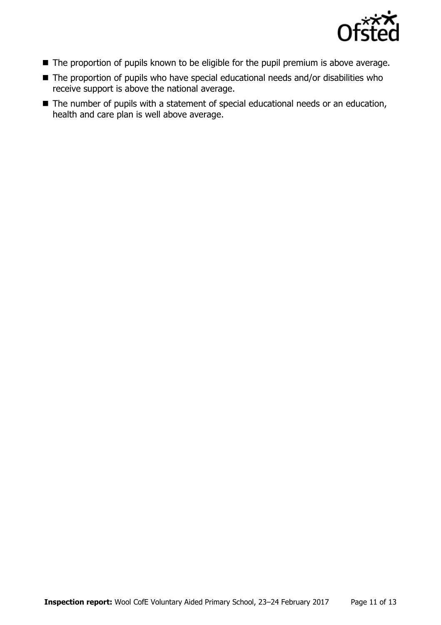

- The proportion of pupils known to be eligible for the pupil premium is above average.
- The proportion of pupils who have special educational needs and/or disabilities who receive support is above the national average.
- The number of pupils with a statement of special educational needs or an education, health and care plan is well above average.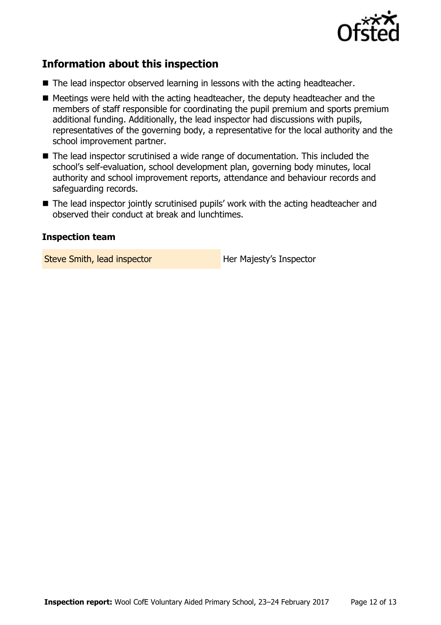

# **Information about this inspection**

- The lead inspector observed learning in lessons with the acting headteacher.
- $\blacksquare$  Meetings were held with the acting headteacher, the deputy headteacher and the members of staff responsible for coordinating the pupil premium and sports premium additional funding. Additionally, the lead inspector had discussions with pupils, representatives of the governing body, a representative for the local authority and the school improvement partner.
- The lead inspector scrutinised a wide range of documentation. This included the school's self-evaluation, school development plan, governing body minutes, local authority and school improvement reports, attendance and behaviour records and safeguarding records.
- The lead inspector jointly scrutinised pupils' work with the acting headteacher and observed their conduct at break and lunchtimes.

### **Inspection team**

Steve Smith, lead inspector **Her Majesty's Inspector**